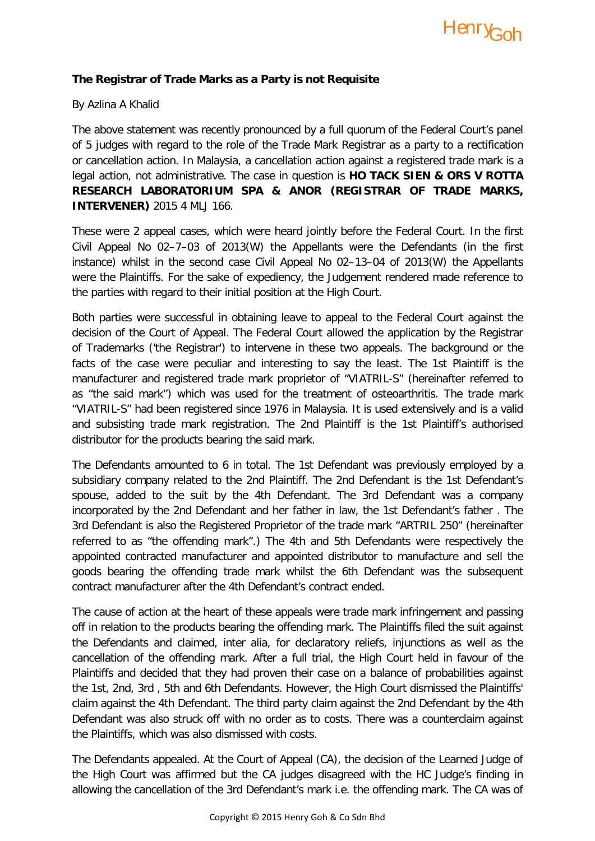

## **The Registrar of Trade Marks as a Party is not Requisite**

## By Azlina A Khalid

The above statement was recently pronounced by a full quorum of the Federal Court's panel of 5 judges with regard to the role of the Trade Mark Registrar as a party to a rectification or cancellation action. In Malaysia, a cancellation action against a registered trade mark is a legal action, not administrative. The case in question is **HO TACK SIEN & ORS V ROTTA RESEARCH LABORATORIUM SPA & ANOR (REGISTRAR OF TRADE MARKS, INTERVENER)** 2015 4 MLJ 166.

These were 2 appeal cases, which were heard jointly before the Federal Court. In the first Civil Appeal No 02–7–03 of 2013(W) the Appellants were the Defendants (in the first instance) whilst in the second case Civil Appeal No 02–13–04 of 2013(W) the Appellants were the Plaintiffs. For the sake of expediency, the Judgement rendered made reference to the parties with regard to their initial position at the High Court.

Both parties were successful in obtaining leave to appeal to the Federal Court against the decision of the Court of Appeal. The Federal Court allowed the application by the Registrar of Trademarks ('the Registrar') to intervene in these two appeals. The background or the facts of the case were peculiar and interesting to say the least. The 1st Plaintiff is the manufacturer and registered trade mark proprietor of "VIATRIL-S" (hereinafter referred to as "the said mark") which was used for the treatment of osteoarthritis. The trade mark "VIATRIL-S" had been registered since 1976 in Malaysia. It is used extensively and is a valid and subsisting trade mark registration. The 2nd Plaintiff is the 1st Plaintiff's authorised distributor for the products bearing the said mark.

The Defendants amounted to 6 in total. The 1st Defendant was previously employed by a subsidiary company related to the 2nd Plaintiff. The 2nd Defendant is the 1st Defendant's spouse, added to the suit by the 4th Defendant. The 3rd Defendant was a company incorporated by the 2nd Defendant and her father in law, the 1st Defendant's father . The 3rd Defendant is also the Registered Proprietor of the trade mark "ARTRIL 250" (hereinafter referred to as "the offending mark".) The 4th and 5th Defendants were respectively the appointed contracted manufacturer and appointed distributor to manufacture and sell the goods bearing the offending trade mark whilst the 6th Defendant was the subsequent contract manufacturer after the 4th Defendant's contract ended.

The cause of action at the heart of these appeals were trade mark infringement and passing off in relation to the products bearing the offending mark. The Plaintiffs filed the suit against the Defendants and claimed, inter alia, for declaratory reliefs, injunctions as well as the cancellation of the offending mark. After a full trial, the High Court held in favour of the Plaintiffs and decided that they had proven their case on a balance of probabilities against the 1st, 2nd, 3rd , 5th and 6th Defendants. However, the High Court dismissed the Plaintiffs' claim against the 4th Defendant. The third party claim against the 2nd Defendant by the 4th Defendant was also struck off with no order as to costs. There was a counterclaim against the Plaintiffs, which was also dismissed with costs.

The Defendants appealed. At the Court of Appeal (CA), the decision of the Learned Judge of the High Court was affirmed but the CA judges disagreed with the HC Judge's finding in allowing the cancellation of the 3rd Defendant's mark i.e. the offending mark. The CA was of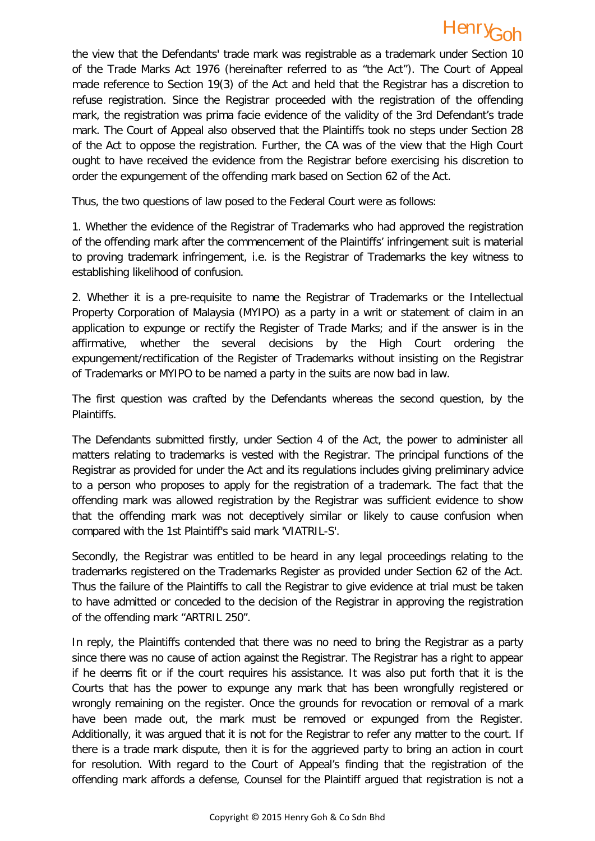## Henry Goh

the view that the Defendants' trade mark was registrable as a trademark under Section 10 of the Trade Marks Act 1976 (hereinafter referred to as "the Act"). The Court of Appeal made reference to Section 19(3) of the Act and held that the Registrar has a discretion to refuse registration. Since the Registrar proceeded with the registration of the offending mark, the registration was prima facie evidence of the validity of the 3rd Defendant's trade mark. The Court of Appeal also observed that the Plaintiffs took no steps under Section 28 of the Act to oppose the registration. Further, the CA was of the view that the High Court ought to have received the evidence from the Registrar before exercising his discretion to order the expungement of the offending mark based on Section 62 of the Act.

Thus, the two questions of law posed to the Federal Court were as follows:

1. Whether the evidence of the Registrar of Trademarks who had approved the registration of the offending mark after the commencement of the Plaintiffs' infringement suit is material to proving trademark infringement, i.e. is the Registrar of Trademarks the key witness to establishing likelihood of confusion.

2. Whether it is a pre-requisite to name the Registrar of Trademarks or the Intellectual Property Corporation of Malaysia (MYIPO) as a party in a writ or statement of claim in an application to expunge or rectify the Register of Trade Marks; and if the answer is in the affirmative, whether the several decisions by the High Court ordering the expungement/rectification of the Register of Trademarks without insisting on the Registrar of Trademarks or MYIPO to be named a party in the suits are now bad in law.

The first question was crafted by the Defendants whereas the second question, by the Plaintiffs.

The Defendants submitted firstly, under Section 4 of the Act, the power to administer all matters relating to trademarks is vested with the Registrar. The principal functions of the Registrar as provided for under the Act and its regulations includes giving preliminary advice to a person who proposes to apply for the registration of a trademark. The fact that the offending mark was allowed registration by the Registrar was sufficient evidence to show that the offending mark was not deceptively similar or likely to cause confusion when compared with the 1st Plaintiff's said mark 'VIATRIL-S'.

Secondly, the Registrar was entitled to be heard in any legal proceedings relating to the trademarks registered on the Trademarks Register as provided under Section 62 of the Act. Thus the failure of the Plaintiffs to call the Registrar to give evidence at trial must be taken to have admitted or conceded to the decision of the Registrar in approving the registration of the offending mark "ARTRIL 250".

In reply, the Plaintiffs contended that there was no need to bring the Registrar as a party since there was no cause of action against the Registrar. The Registrar has a right to appear if he deems fit or if the court requires his assistance. It was also put forth that it is the Courts that has the power to expunge any mark that has been wrongfully registered or wrongly remaining on the register. Once the grounds for revocation or removal of a mark have been made out, the mark must be removed or expunged from the Register. Additionally, it was argued that it is not for the Registrar to refer any matter to the court. If there is a trade mark dispute, then it is for the aggrieved party to bring an action in court for resolution. With regard to the Court of Appeal's finding that the registration of the offending mark affords a defense, Counsel for the Plaintiff argued that registration is not a